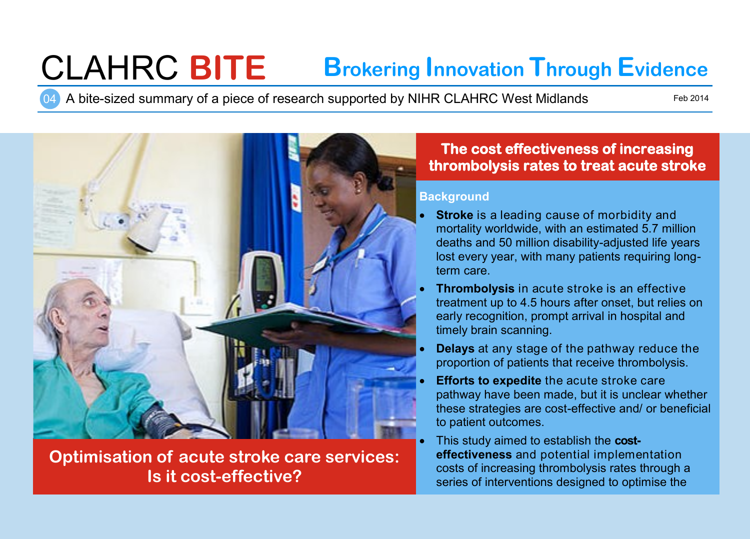# CLAHRC **BITE Brokering Innovation Through Evidence**

04 A bite-sized summary of a piece of research supported by NIHR CLAHRC West Midlands

Feb 2014



**Optimisation of acute stroke care services: Is it cost-effective?**

## **The cost effectiveness of increasing thrombolysis rates to treat acute stroke**

#### **Background**

- **Stroke** is a leading cause of morbidity and mortality worldwide, with an estimated 5.7 million deaths and 50 million disability-adjusted life years lost every year, with many patients requiring longterm care.
- **Thrombolysis** in acute stroke is an effective treatment up to 4.5 hours after onset, but relies on early recognition, prompt arrival in hospital and timely brain scanning.
- **Delays** at any stage of the pathway reduce the proportion of patients that receive thrombolysis.
- **Efforts to expedite** the acute stroke care pathway have been made, but it is unclear whether these strategies are cost-effective and/ or beneficial to patient outcomes.
- This study aimed to establish the **costeffectiveness** and potential implementation costs of increasing thrombolysis rates through a series of interventions designed to optimise the